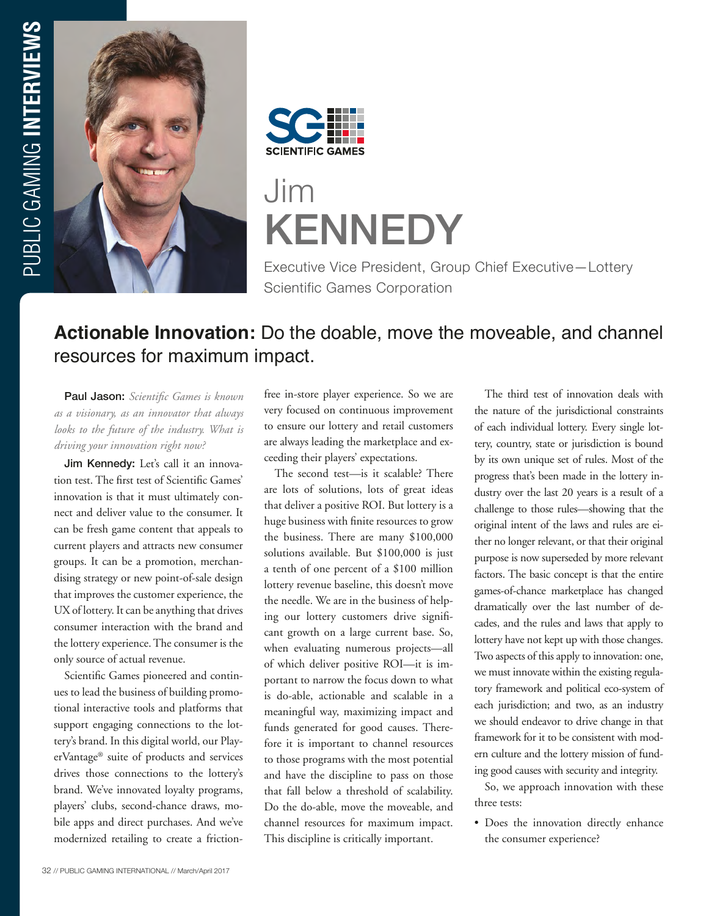



## Jim **KENNEDY**

Executive Vice President, Group Chief Executive—Lottery Scientific Games Corporation

## **Actionable Innovation:** Do the doable, move the moveable, and channel resources for maximum impact.

Paul Jason: *Scientific Games is known as a visionary, as an innovator that always looks to the future of the industry. What is driving your innovation right now?*

Jim Kennedy: Let's call it an innovation test. The first test of Scientific Games' innovation is that it must ultimately connect and deliver value to the consumer. It can be fresh game content that appeals to current players and attracts new consumer groups. It can be a promotion, merchandising strategy or new point-of-sale design that improves the customer experience, the UX of lottery. It can be anything that drives consumer interaction with the brand and the lottery experience. The consumer is the only source of actual revenue.

Scientific Games pioneered and continues to lead the business of building promotional interactive tools and platforms that support engaging connections to the lottery's brand. In this digital world, our PlayerVantage® suite of products and services drives those connections to the lottery's brand. We've innovated loyalty programs, players' clubs, second-chance draws, mobile apps and direct purchases. And we've modernized retailing to create a frictionfree in-store player experience. So we are very focused on continuous improvement to ensure our lottery and retail customers are always leading the marketplace and exceeding their players' expectations.

The second test—is it scalable? There are lots of solutions, lots of great ideas that deliver a positive ROI. But lottery is a huge business with finite resources to grow the business. There are many \$100,000 solutions available. But \$100,000 is just a tenth of one percent of a \$100 million lottery revenue baseline, this doesn't move the needle. We are in the business of helping our lottery customers drive significant growth on a large current base. So, when evaluating numerous projects—all of which deliver positive ROI—it is important to narrow the focus down to what is do-able, actionable and scalable in a meaningful way, maximizing impact and funds generated for good causes. Therefore it is important to channel resources to those programs with the most potential and have the discipline to pass on those that fall below a threshold of scalability. Do the do-able, move the moveable, and channel resources for maximum impact. This discipline is critically important.

The third test of innovation deals with the nature of the jurisdictional constraints of each individual lottery. Every single lottery, country, state or jurisdiction is bound by its own unique set of rules. Most of the progress that's been made in the lottery industry over the last 20 years is a result of a challenge to those rules—showing that the original intent of the laws and rules are either no longer relevant, or that their original purpose is now superseded by more relevant factors. The basic concept is that the entire games-of-chance marketplace has changed dramatically over the last number of decades, and the rules and laws that apply to lottery have not kept up with those changes. Two aspects of this apply to innovation: one, we must innovate within the existing regulatory framework and political eco-system of each jurisdiction; and two, as an industry we should endeavor to drive change in that framework for it to be consistent with modern culture and the lottery mission of funding good causes with security and integrity.

So, we approach innovation with these three tests:

• Does the innovation directly enhance the consumer experience?